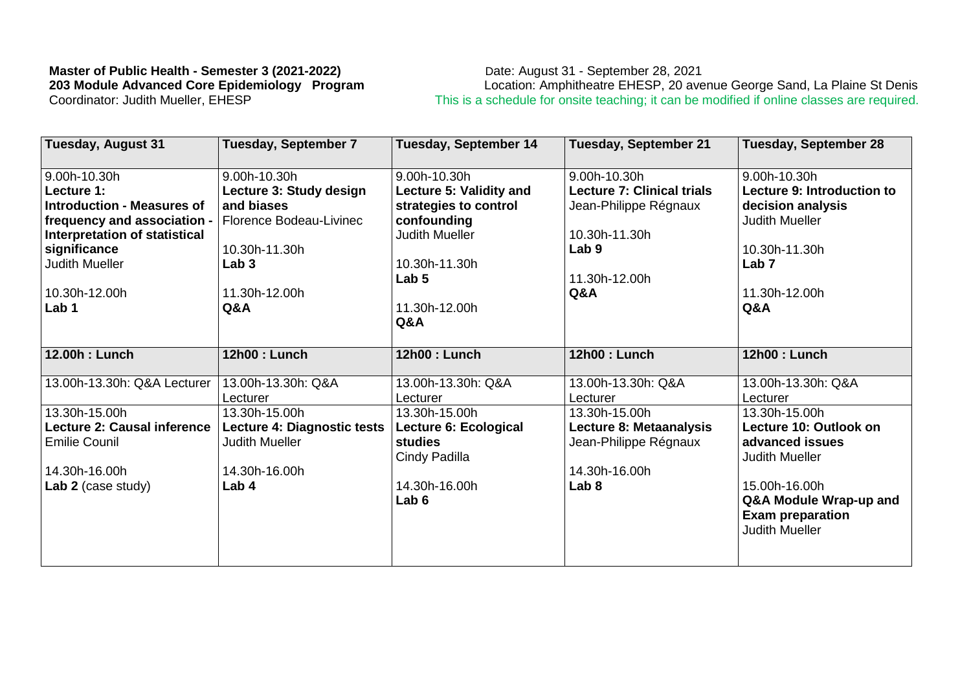## **Master of Public Health - Semester 3 (2021-2022)** Date: August 31 - September 28, 2021

**203 Module Advanced Core Epidemiology Program** Location: Amphitheatre EHESP, 20 avenue George Sand, La Plaine St Denis This is a schedule for onsite teaching; it can be modified if online classes are required.

| <b>Tuesday, August 31</b>         | <b>Tuesday, September 7</b> | <b>Tuesday, September 14</b> | <b>Tuesday, September 21</b>      | Tuesday, September 28      |
|-----------------------------------|-----------------------------|------------------------------|-----------------------------------|----------------------------|
| 9.00h-10.30h                      | 9.00h-10.30h                | 9.00h-10.30h                 | 9.00h-10.30h                      | 9.00h-10.30h               |
| Lecture 1:                        | Lecture 3: Study design     | Lecture 5: Validity and      | <b>Lecture 7: Clinical trials</b> | Lecture 9: Introduction to |
| <b>Introduction - Measures of</b> | and biases                  | strategies to control        | Jean-Philippe Régnaux             | decision analysis          |
| frequency and association -       | Florence Bodeau-Livinec     | confounding                  |                                   | <b>Judith Mueller</b>      |
| Interpretation of statistical     |                             | <b>Judith Mueller</b>        | 10.30h-11.30h                     |                            |
| significance                      | 10.30h-11.30h               |                              | Lab <sub>9</sub>                  | 10.30h-11.30h              |
| <b>Judith Mueller</b>             | Lab <sub>3</sub>            | 10.30h-11.30h                |                                   | Lab <sub>7</sub>           |
|                                   |                             | Lab <sub>5</sub>             | 11.30h-12.00h                     |                            |
| 10.30h-12.00h                     | 11.30h-12.00h               |                              | Q&A                               | 11.30h-12.00h              |
| Lab <sub>1</sub>                  | Q&A                         | 11.30h-12.00h                |                                   | Q&A                        |
|                                   |                             | Q&A                          |                                   |                            |
| 12.00h: Lunch                     | 12h00 : Lunch               | 12h00 : Lunch                | 12h00 : Lunch                     | 12h00 : Lunch              |
| 13.00h-13.30h: Q&A Lecturer       | 13.00h-13.30h: Q&A          | 13.00h-13.30h: Q&A           | 13.00h-13.30h: Q&A                | 13.00h-13.30h: Q&A         |
|                                   | Lecturer                    | Lecturer                     | Lecturer                          | Lecturer                   |
| 13.30h-15.00h                     | 13.30h-15.00h               | 13.30h-15.00h                | 13.30h-15.00h                     | 13.30h-15.00h              |
| Lecture 2: Causal inference       | Lecture 4: Diagnostic tests | Lecture 6: Ecological        | Lecture 8: Metaanalysis           | Lecture 10: Outlook on     |
| <b>Emilie Counil</b>              | <b>Judith Mueller</b>       | <b>studies</b>               | Jean-Philippe Régnaux             | advanced issues            |
|                                   |                             | Cindy Padilla                |                                   | <b>Judith Mueller</b>      |
| 14.30h-16.00h                     | 14.30h-16.00h               |                              | 14.30h-16.00h                     |                            |
| Lab 2 (case study)                | Lab <sub>4</sub>            | 14.30h-16.00h                | Lab <sub>8</sub>                  | 15.00h-16.00h              |
|                                   |                             | Lab <sub>6</sub>             |                                   | Q&A Module Wrap-up and     |
|                                   |                             |                              |                                   |                            |
|                                   |                             |                              |                                   | <b>Exam preparation</b>    |
|                                   |                             |                              |                                   | <b>Judith Mueller</b>      |
|                                   |                             |                              |                                   |                            |